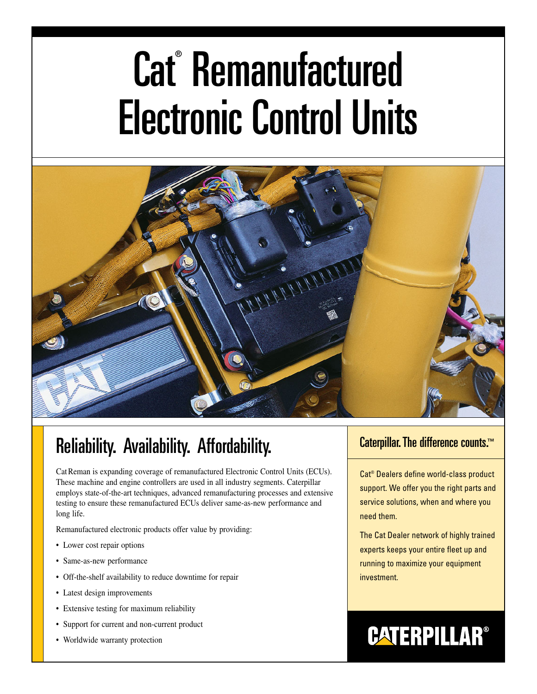# Cat<sup>®</sup> Remanufactured Electronic Control Units



### Reliability. Availability. Affordability.

Cat Reman is expanding coverage of remanufactured Electronic Control Units (ECUs). These machine and engine controllers are used in all industry segments. Caterpillar employs state-of-the-art techniques, advanced remanufacturing processes and extensive testing to ensure these remanufactured ECUs deliver same-as-new performance and long life.

Remanufactured electronic products offer value by providing:

- Lower cost repair options
- Same-as-new performance
- Off-the-shelf availability to reduce downtime for repair
- Latest design improvements
- Extensive testing for maximum reliability
- Support for current and non-current product
- Worldwide warranty protection

#### Caterpillar. The difference counts.™

Cat® Dealers define world-class product support. We offer you the right parts and service solutions, when and where you need them.

The Cat Dealer network of highly trained experts keeps your entire fleet up and running to maximize your equipment investment.

## **CATERPILLAR®**